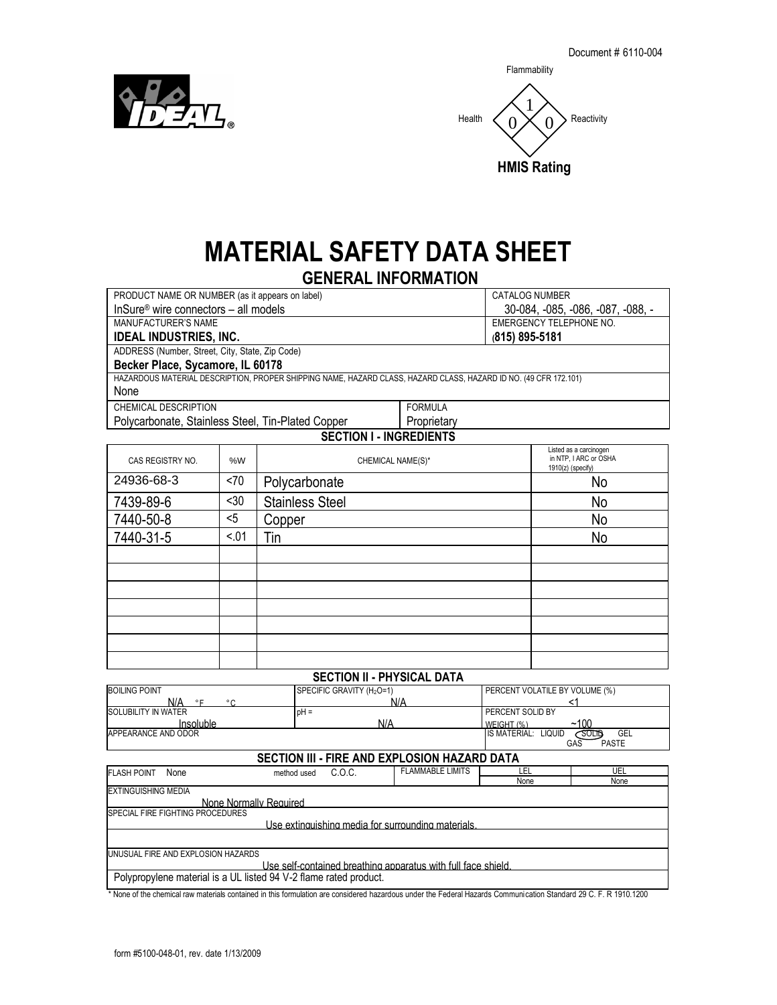Flammability



# **MATERIAL SAFETY DATA SHEET**

## **GENERAL INFORMATION**

| PRODUCT NAME OR NUMBER (as it appears on label)                                                                  |     | CATALOG NUMBER                    |                                                                        |  |  |  |
|------------------------------------------------------------------------------------------------------------------|-----|-----------------------------------|------------------------------------------------------------------------|--|--|--|
| InSure <sup>®</sup> wire connectors - all models                                                                 |     | 30-084, -085, -086, -087, -088, - |                                                                        |  |  |  |
| MANUFACTURER'S NAME                                                                                              |     | EMERGENCY TELEPHONE NO.           |                                                                        |  |  |  |
| <b>IDEAL INDUSTRIES, INC.</b>                                                                                    |     | $(815)$ 895-5181                  |                                                                        |  |  |  |
| ADDRESS (Number, Street, City, State, Zip Code)                                                                  |     |                                   |                                                                        |  |  |  |
| Becker Place, Sycamore, IL 60178                                                                                 |     |                                   |                                                                        |  |  |  |
| HAZARDOUS MATERIAL DESCRIPTION, PROPER SHIPPING NAME, HAZARD CLASS, HAZARD CLASS, HAZARD ID NO. (49 CFR 172.101) |     |                                   |                                                                        |  |  |  |
| None                                                                                                             |     |                                   |                                                                        |  |  |  |
| CHEMICAL DESCRIPTION                                                                                             |     |                                   | <b>FORMULA</b>                                                         |  |  |  |
| Polycarbonate, Stainless Steel, Tin-Plated Copper                                                                |     |                                   | Proprietary                                                            |  |  |  |
| <b>SECTION I - INGREDIENTS</b>                                                                                   |     |                                   |                                                                        |  |  |  |
| CAS REGISTRY NO.                                                                                                 | %W  | CHEMICAL NAME(S)*                 | Listed as a carcinogen<br>in NTP. I ARC or OSHA<br>$1910(z)$ (specify) |  |  |  |
| 21026.60.2                                                                                                       | 7۸. | Deli isesile eseete               | $N_{\rm A}$                                                            |  |  |  |

| <b>UAJ NEUIJINI INU.</b><br>70 V V |      | <b>UILIVIIUAL IVAIVIL(U)</b> | $1910(z)$ (specify) |
|------------------------------------|------|------------------------------|---------------------|
| 24936-68-3                         | <70  | Polycarbonate                | No                  |
| 7439-89-6                          | $30$ | <b>Stainless Steel</b>       | No                  |
| 7440-50-8                          | $5$  | Copper                       | No                  |
| 7440-31-5                          | < 01 | Tin                          | No                  |
|                                    |      |                              |                     |
|                                    |      |                              |                     |
|                                    |      |                              |                     |
|                                    |      |                              |                     |
|                                    |      |                              |                     |
|                                    |      |                              |                     |
|                                    |      |                              |                     |

### **SECTION II - PHYSICAL DATA**

| <b>BOILING POINT</b>                    | SPECIFIC GRAVITY (H <sub>2</sub> O=1) | PERCENT VOLATILE BY VOLUME (%)                              |
|-----------------------------------------|---------------------------------------|-------------------------------------------------------------|
| N/A<br>$\circ$ $\sim$<br>$\circ$ $\sim$ | N/A                                   |                                                             |
| <b>SOLUBILITY IN WATER</b>              | $pH =$                                | PERCENT SOLID BY                                            |
| Insoluble                               | N/A                                   | ~100<br>WFIGHT (%)                                          |
| APPEARANCE AND ODOR                     |                                       | GEL<br><b>LIQUID</b><br><b>IS MATERIAL:</b><br><b>SOLID</b> |
|                                         |                                       | GAS<br><b>PASTE</b>                                         |

## **SECTION III - FIRE AND EXPLOSION HAZARD DATA**

| <b>FLASH POINT</b>                                            | None | method used                                                       | COC. | <b>FLAMMABLE LIMITS</b> | LEL  | UEL  |  |
|---------------------------------------------------------------|------|-------------------------------------------------------------------|------|-------------------------|------|------|--|
|                                                               |      |                                                                   |      |                         | None | None |  |
| <b>EXTINGUISHING MEDIA</b>                                    |      |                                                                   |      |                         |      |      |  |
|                                                               |      | None Normally Required                                            |      |                         |      |      |  |
| <b>ISPECIAL FIRE FIGHTING PROCEDURES</b>                      |      |                                                                   |      |                         |      |      |  |
| Use extinguishing media for surrounding materials.            |      |                                                                   |      |                         |      |      |  |
|                                                               |      |                                                                   |      |                         |      |      |  |
|                                                               |      |                                                                   |      |                         |      |      |  |
|                                                               |      | UNUSUAL FIRE AND EXPLOSION HAZARDS                                |      |                         |      |      |  |
| Use self-contained breathing apparatus with full face shield. |      |                                                                   |      |                         |      |      |  |
|                                                               |      | Polypropylene material is a UL listed 94 V-2 flame rated product. |      |                         |      |      |  |

\* None of the chemical raw materials contained in this formulation are considered hazardous under the Federal Hazards Communication Standard 29 C. F. R 1910.1200